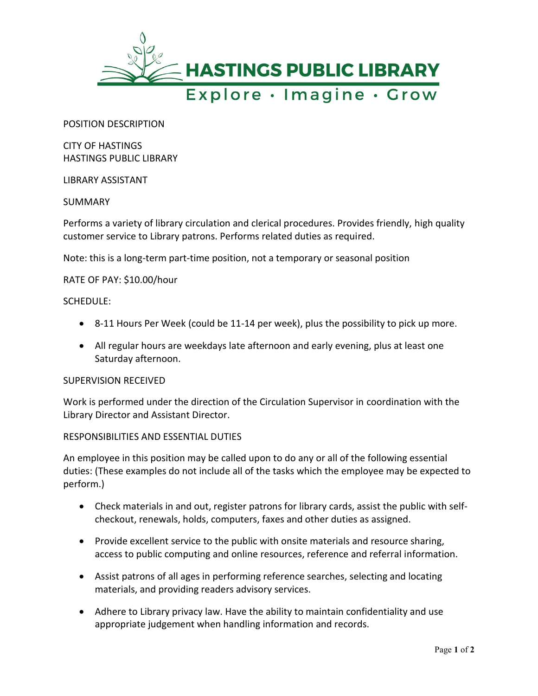

POSITION DESCRIPTION

CITY OF HASTINGS HASTINGS PUBLIC LIBRARY

## LIBRARY ASSISTANT

SUMMARY

Performs a variety of library circulation and clerical procedures. Provides friendly, high quality customer service to Library patrons. Performs related duties as required.

Note: this is a long-term part-time position, not a temporary or seasonal position

# RATE OF PAY: \$10.00/hour

## SCHEDULE:

- 8-11 Hours Per Week (could be 11-14 per week), plus the possibility to pick up more.
- All regular hours are weekdays late afternoon and early evening, plus at least one Saturday afternoon.

## SUPERVISION RECEIVED

Work is performed under the direction of the Circulation Supervisor in coordination with the Library Director and Assistant Director.

## RESPONSIBILITIES AND ESSENTIAL DUTIES

An employee in this position may be called upon to do any or all of the following essential duties: (These examples do not include all of the tasks which the employee may be expected to perform.)

- Check materials in and out, register patrons for library cards, assist the public with selfcheckout, renewals, holds, computers, faxes and other duties as assigned.
- Provide excellent service to the public with onsite materials and resource sharing, access to public computing and online resources, reference and referral information.
- Assist patrons of all ages in performing reference searches, selecting and locating materials, and providing readers advisory services.
- Adhere to Library privacy law. Have the ability to maintain confidentiality and use appropriate judgement when handling information and records.